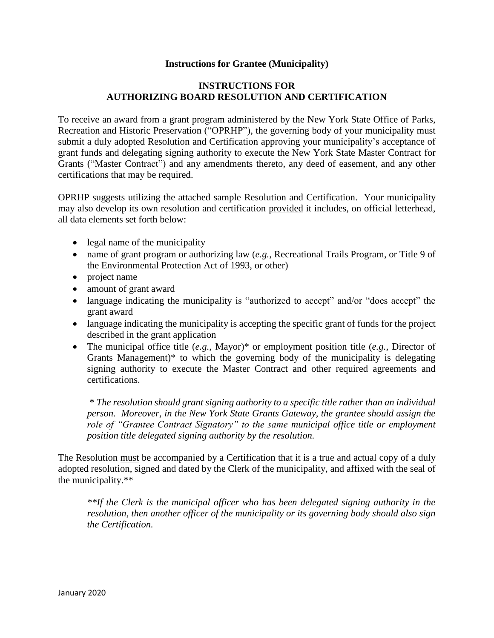# **Instructions for Grantee (Municipality)**

# **INSTRUCTIONS FOR AUTHORIZING BOARD RESOLUTION AND CERTIFICATION**

To receive an award from a grant program administered by the New York State Office of Parks, Recreation and Historic Preservation ("OPRHP"), the governing body of your municipality must submit a duly adopted Resolution and Certification approving your municipality's acceptance of grant funds and delegating signing authority to execute the New York State Master Contract for Grants ("Master Contract") and any amendments thereto, any deed of easement, and any other certifications that may be required.

OPRHP suggests utilizing the attached sample Resolution and Certification. Your municipality may also develop its own resolution and certification provided it includes, on official letterhead, all data elements set forth below:

- legal name of the municipality
- name of grant program or authorizing law (*e.g.*, Recreational Trails Program, or Title 9 of the Environmental Protection Act of 1993, or other)
- project name
- amount of grant award
- language indicating the municipality is "authorized to accept" and/or "does accept" the grant award
- language indicating the municipality is accepting the specific grant of funds for the project described in the grant application
- The municipal office title (*e.g.*, Mayor)<sup>\*</sup> or employment position title (*e.g.*, Director of Grants Management)\* to which the governing body of the municipality is delegating signing authority to execute the Master Contract and other required agreements and certifications.

\* *The resolution should grant signing authority to a specific title rather than an individual person. Moreover, in the New York State Grants Gateway, the grantee should assign the role of "Grantee Contract Signatory" to the same municipal office title or employment position title delegated signing authority by the resolution.* 

The Resolution must be accompanied by a Certification that it is a true and actual copy of a duly adopted resolution, signed and dated by the Clerk of the municipality, and affixed with the seal of the municipality.\*\*

*\*\*If the Clerk is the municipal officer who has been delegated signing authority in the resolution, then another officer of the municipality or its governing body should also sign the Certification.*